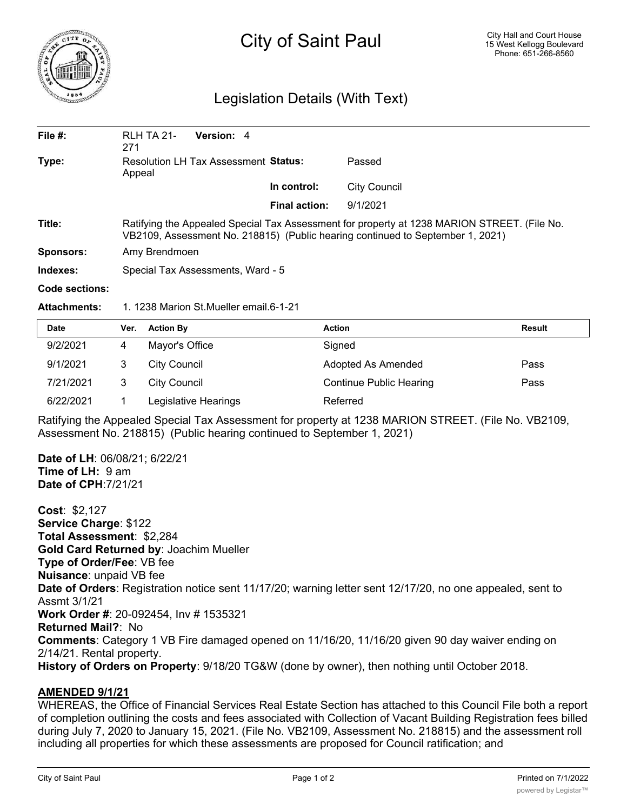

## City of Saint Paul

## Legislation Details (With Text)

| File $#$ :     | RLH TA 21-<br>271                                                                                                                                                             | Version: 4                                  |                      |              |  |
|----------------|-------------------------------------------------------------------------------------------------------------------------------------------------------------------------------|---------------------------------------------|----------------------|--------------|--|
| Type:          | Appeal                                                                                                                                                                        | <b>Resolution LH Tax Assessment Status:</b> |                      | Passed       |  |
|                |                                                                                                                                                                               |                                             | In control:          | City Council |  |
|                |                                                                                                                                                                               |                                             | <b>Final action:</b> | 9/1/2021     |  |
| Title:         | Ratifying the Appealed Special Tax Assessment for property at 1238 MARION STREET. (File No.<br>VB2109, Assessment No. 218815) (Public hearing continued to September 1, 2021) |                                             |                      |              |  |
| Sponsors:      | Amy Brendmoen                                                                                                                                                                 |                                             |                      |              |  |
| Indexes:       | Special Tax Assessments, Ward - 5                                                                                                                                             |                                             |                      |              |  |
| Code sections: |                                                                                                                                                                               |                                             |                      |              |  |

**Attachments:** 1. 1238 Marion St.Mueller email.6-1-21

| <b>Date</b> | Ver. | <b>Action By</b>     | <b>Action</b>                  | <b>Result</b> |
|-------------|------|----------------------|--------------------------------|---------------|
| 9/2/2021    |      | Mayor's Office       | Signed                         |               |
| 9/1/2021    |      | City Council         | Adopted As Amended             | Pass          |
| 7/21/2021   |      | City Council         | <b>Continue Public Hearing</b> | Pass          |
| 6/22/2021   |      | Legislative Hearings | Referred                       |               |

Ratifying the Appealed Special Tax Assessment for property at 1238 MARION STREET. (File No. VB2109, Assessment No. 218815) (Public hearing continued to September 1, 2021)

**Date of LH**: 06/08/21; 6/22/21 **Time of LH: 9 am Date of CPH**:7/21/21

**Cost**: \$2,127 **Service Charge**: \$122 **Total Assessment**: \$2,284 **Gold Card Returned by**: Joachim Mueller **Type of Order/Fee**: VB fee **Nuisance**: unpaid VB fee **Date of Orders**: Registration notice sent 11/17/20; warning letter sent 12/17/20, no one appealed, sent to Assmt 3/1/21 **Work Order #**: 20-092454, Inv # 1535321 **Returned Mail?**: No **Comments**: Category 1 VB Fire damaged opened on 11/16/20, 11/16/20 given 90 day waiver ending on 2/14/21. Rental property. **History of Orders on Property**: 9/18/20 TG&W (done by owner), then nothing until October 2018.

## **AMENDED 9/1/21**

WHEREAS, the Office of Financial Services Real Estate Section has attached to this Council File both a report of completion outlining the costs and fees associated with Collection of Vacant Building Registration fees billed during July 7, 2020 to January 15, 2021. (File No. VB2109, Assessment No. 218815) and the assessment roll including all properties for which these assessments are proposed for Council ratification; and